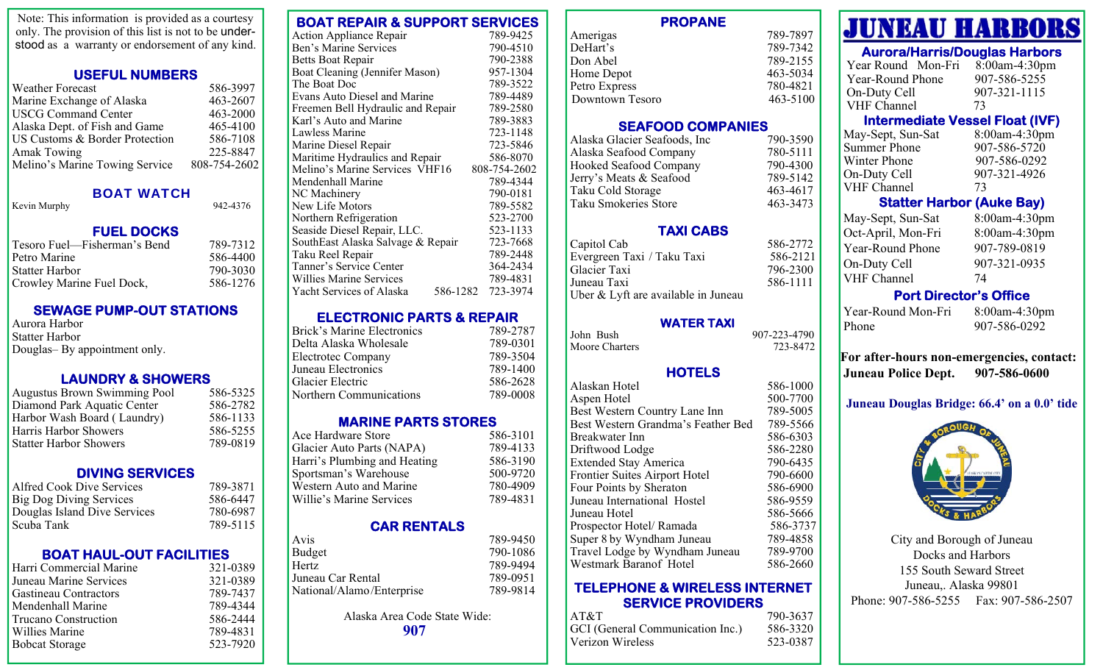Note: This information is provided as a courtesy only. The provision of this list is not to be understood as a warranty or endorsement of any kind.

### **USEFUL NUMBERS**

| <b>Weather Forecast</b>        | 586-3997     |
|--------------------------------|--------------|
| Marine Exchange of Alaska      | 463-2607     |
| <b>USCG Command Center</b>     | 463-2000     |
| Alaska Dept. of Fish and Game  | 465-4100     |
| US Customs & Border Protection | 586-7108     |
| <b>Amak Towing</b>             | 225-8847     |
| Melino's Marine Towing Service | 808-754-2602 |

#### BOAT WATCH

Kevin Murphy 942-4376

#### **FUEL DOCKS**

| 789-7312 |
|----------|
| 586-4400 |
| 790-3030 |
| 586-1276 |
|          |

## **SEWAGE PUMP-OUT STATIONS**

Aurora Harbor Statter Harbor Douglas– By appointment only.

## **LAUNDRY & SHOWERS**

| <b>Augustus Brown Swimming Pool</b> | 586-5325 |
|-------------------------------------|----------|
| Diamond Park Aquatic Center         | 586-2782 |
| Harbor Wash Board (Laundry)         | 586-1133 |
| Harris Harbor Showers               | 586-5255 |
| Statter Harbor Showers              | 789-0819 |
|                                     |          |

#### **DIVING SERVICES**

| 789-3871 |
|----------|
| 586-6447 |
| 780-6987 |
| 789-5115 |
|          |

## **BOAT HAUL-OUT FACILITIES**

| Harri Commercial Marine | 321-0389 |
|-------------------------|----------|
| Juneau Marine Services  | 321-0389 |
| Gastineau Contractors   | 789-7437 |
| Mendenhall Marine       | 789-4344 |
| Trucano Construction    | 586-2444 |
| Willies Marine          | 789-4831 |
| <b>Bobcat Storage</b>   | 523-7920 |

| Action Appliance Repair           | 789-9425     |
|-----------------------------------|--------------|
| Ben's Marine Services             | 790-4510     |
| Betts Boat Repair                 | 790-2388     |
| Boat Cleaning (Jennifer Mason)    | 957-1304     |
| The Boat Doc                      | 789-3522     |
| Evans Auto Diesel and Marine      | 789-4489     |
| Freemen Bell Hydraulic and Repair | 789-2580     |
| Karl's Auto and Marine            | 789-3883     |
| Lawless Marine                    | 723-1148     |
| Marine Diesel Repair              | 723-5846     |
| Maritime Hydraulics and Repair    | 586-8070     |
| Melino's Marine Services VHF16    | 808-754-2602 |
| Mendenhall Marine                 | 789-4344     |
| NC Machinery                      | 790-0181     |
| New Life Motors                   | 789-5582     |
| Northern Refrigeration            | 523-2700     |
| Seaside Diesel Repair, LLC.       | 523-1133     |
| SouthEast Alaska Salvage & Repair | 723-7668     |
| Taku Reel Repair                  | 789-2448     |
| Tanner's Service Center           | 364-2434     |

**BOAT REPAIR & SUPPORT SERVICES** 

#### **ELECTRONIC PARTS & REPAIR**

Willies Marine Services 789-4831 Yacht Services of Alaska 586-1282 723-3974

| <b>Brick's Marine Electronics</b> | 789-2787 |
|-----------------------------------|----------|
| Delta Alaska Wholesale            | 789-0301 |
| <b>Electrotec Company</b>         | 789-3504 |
| Juneau Electronics                | 789-1400 |
| Glacier Electric                  | 586-2628 |
| Northern Communications           | 789-0008 |

## **MARINE PARTS STORES**

| Ace Hardware Store           | 586-3101 |
|------------------------------|----------|
| Glacier Auto Parts (NAPA)    | 789-4133 |
| Harri's Plumbing and Heating | 586-3190 |
| Sportsman's Warehouse        | 500-9720 |
| Western Auto and Marine      | 780-4909 |
| Willie's Marine Services     | 789-4831 |

## **CAR RENTALS**

| Avis                      | 789-9450 |
|---------------------------|----------|
| Budget                    | 790-1086 |
| Hertz                     | 789-9494 |
| Juneau Car Rental         | 789-0951 |
| National/Alamo/Enterprise | 789-9814 |
|                           |          |

Alaska Area Code State Wide: **907**

| PROPANE         |          |
|-----------------|----------|
| Amerigas        | 789-7897 |
| DeHart's        | 789-7342 |
| Don Abel        | 789-2155 |
| Home Depot      | 463-5034 |
| Petro Express   | 780-4821 |
| Downtown Tesoro | 463-5100 |

**PROPANE** 

#### **SEAFOOD COMPANIES**

| Alaska Glacier Seafoods, Inc | 790-3590 |
|------------------------------|----------|
| Alaska Seafood Company       | 780-5111 |
| Hooked Seafood Company       | 790-4300 |
| Jerry's Meats & Seafood      | 789-5142 |
| Taku Cold Storage            | 463-4617 |
| Taku Smokeries Store         | 463-3473 |

#### **TAXI CABS**

| Capitol Cab                         | 586-2772 |
|-------------------------------------|----------|
| Evergreen Taxi / Taku Taxi          | 586-2121 |
| Glacier Taxi                        | 796-2300 |
| Juneau Taxi                         | 586-1111 |
| Uber & Lyft are available in Juneau |          |
|                                     |          |

#### **WATER TAXI**

| John Bush      | 907-223-4790 |
|----------------|--------------|
| Moore Charters | 723-8472     |

#### **HOTELS**

| Alaskan Hotel                      | 586-1000 |
|------------------------------------|----------|
| Aspen Hotel                        | 500-7700 |
| Best Western Country Lane Inn      | 789-5005 |
| Best Western Grandma's Feather Bed | 789-5566 |
| Breakwater Inn                     | 586-6303 |
| Driftwood Lodge                    | 586-2280 |
| <b>Extended Stay America</b>       | 790-6435 |
| Frontier Suites Airport Hotel      | 790-6600 |
| Four Points by Sheraton            | 586-6900 |
| Juneau International Hostel        | 586-9559 |
| Juneau Hotel                       | 586-5666 |
| Prospector Hotel/Ramada            | 586-3737 |
| Super 8 by Wyndham Juneau          | 789-4858 |
| Travel Lodge by Wyndham Juneau     | 789-9700 |
| Westmark Baranof Hotel             | 586-2660 |
|                                    |          |

#### **TELEPHONE & WIRELESS INTERNET SERVICE PROVIDERS**

| AT&T                             | 790-3637 |
|----------------------------------|----------|
| GCI (General Communication Inc.) | 586-3320 |
| Verizon Wireless                 | 523-0387 |

# **JUNEAU HARBORS**

## **Aurora/Harris/Douglas Harbors**

| Year Round Mon-Fri | $8:00$ am-4:30pm |
|--------------------|------------------|
| Year-Round Phone   | 907-586-5255     |
| On-Duty Cell       | 907-321-1115     |
| VHF Channel        | 73               |

## **Intermediate Vessel Float (IVF)**

| 8:00am-4:30pm |
|---------------|
| 907-586-5720  |
| 907-586-0292  |
| 907-321-4926  |
| 73            |
|               |

## **Statter Harbor (Auke Bay)**

| May-Sept, Sun-Sat       | 8:00am-4:30pm |
|-------------------------|---------------|
| Oct-April, Mon-Fri      | 8:00am-4:30pm |
| <b>Year-Round Phone</b> | 907-789-0819  |
| On-Duty Cell            | 907-321-0935  |
| <b>VHF Channel</b>      | 74            |

## **Port Director's Office**

| Year-Round Mon-Fri |
|--------------------|
| <b>Phone</b>       |

8:00am-4:30pm 907-586-0292

**For after-hours non-emergencies, contact: Juneau Police Dept. 907-586-0600** 

## **Juneau Douglas Bridge: 66.4' on a 0.0' tide**



City and Borough of Juneau Docks and Harbors 155 South Seward Street Juneau,. Alaska 99801 Phone: 907-586-5255 Fax: 907-586-2507